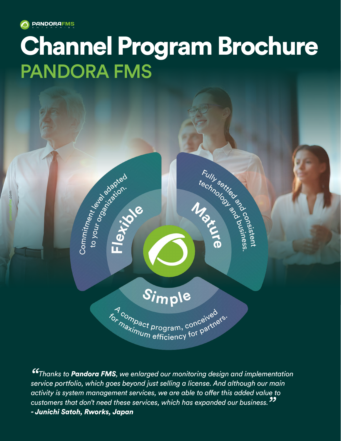

Commitment (algebraced

Fletti de

pandoralims.com

moc

# Channel Program Brochure PANDORA FMS

Fully series of the MISS of the MISS of the MISS of the MISS of the MISS of the MISS of the MISS of the MISS of the MISS of the MISS of the MISS of the MISS of the MISS of the MISS of the MISS of the MISS of the MISS of th

*"Thanks to Pandora FMS, we enlarged our monitoring design and implementation service portfolio, which goes beyond just selling a license. And although our main activity is system management services, we are able to offer this added value to customers that don't need these services, which has expanded our business." - Junichi Satoh, Rworks, Japan*

Simple

7<sub>compact</sub> program, conceived *for nonpact program*, conceived is:<br>*Maxinum* efficiency for partners.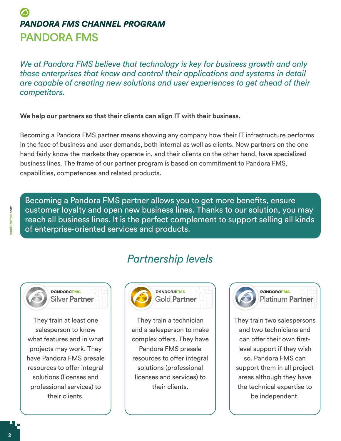## *PANDORA FMS CHANNEL PROGRAM* PANDORA FMS

*We at Pandora FMS believe that technology is key for business growth and only those enterprises that know and control their applications and systems in detail are capable of creating new solutions and user experiences to get ahead of their competitors.* 

**We help our partners so that their clients can align IT with their business.**

Becoming a Pandora FMS partner means showing any company how their IT infrastructure performs in the face of business and user demands, both internal as well as clients. New partners on the one hand fairly know the markets they operate in, and their clients on the other hand, have specialized business lines. The frame of our partner program is based on commitment to Pandora FMS, capabilities, competences and related products.

Becoming a Pandora FMS partner allows you to get more benefits, ensure customer loyalty and open new business lines. Thanks to our solution, you may reach all business lines. It is the perfect complement to support selling all kinds of enterprise-oriented services and products.

### *Partnership levels*



They train at least one salesperson to know what features and in what projects may work. They have Pandora FMS presale resources to offer integral solutions (licenses and professional services) to their clients.



They train a technician and a salesperson to make complex offers. They have Pandora FMS presale resources to offer integral solutions (professional licenses and services) to their clients.



#### **PANDORAFMS** Platinum **Partner**

They train two salespersons and two technicians and can offer their own firstlevel support if they wish so. Pandora FMS can support them in all project areas although they have the technical expertise to be independent.